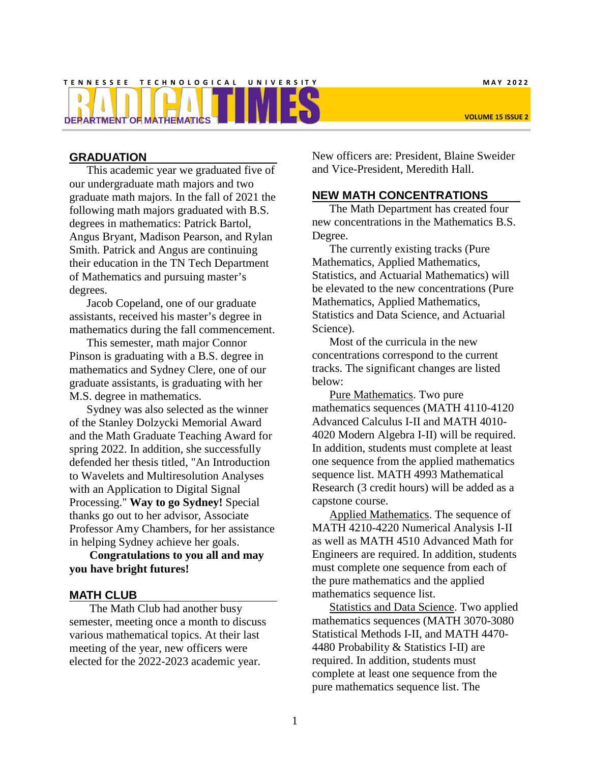# **T E N N E S S E E T E C H N O L O G I C A L U N I V E R S I T Y M A Y 2 0 2 2 DEPARTMENT OF MATHEMATICS VOLUME 15 ISSUE 2**

#### **GRADUATION**

This academic year we graduated five of our undergraduate math majors and two graduate math majors. In the fall of 2021 the following math majors graduated with B.S. degrees in mathematics: Patrick Bartol, Angus Bryant, Madison Pearson, and Rylan Smith. Patrick and Angus are continuing their education in the TN Tech Department of Mathematics and pursuing master's degrees.

Jacob Copeland, one of our graduate assistants, received his master's degree in mathematics during the fall commencement.

This semester, math major Connor Pinson is graduating with a B.S. degree in mathematics and Sydney Clere, one of our graduate assistants, is graduating with her M.S. degree in mathematics.

Sydney was also selected as the winner of the Stanley Dolzycki Memorial Award and the Math Graduate Teaching Award for spring 2022. In addition, she successfully defended her thesis titled, "An Introduction to Wavelets and Multiresolution Analyses with an Application to Digital Signal Processing." **Way to go Sydney!** Special thanks go out to her advisor, Associate Professor Amy Chambers, for her assistance in helping Sydney achieve her goals.

#### **Congratulations to you all and may you have bright futures!**

#### **MATH CLUB**

The Math Club had another busy semester, meeting once a month to discuss various mathematical topics. At their last meeting of the year, new officers were elected for the 2022-2023 academic year.

New officers are: President, Blaine Sweider and Vice-President, Meredith Hall.

#### **NEW MATH CONCENTRATIONS**

The Math Department has created four new concentrations in the Mathematics B.S. Degree.

The currently existing tracks (Pure Mathematics, Applied Mathematics, Statistics, and Actuarial Mathematics) will be elevated to the new concentrations (Pure Mathematics, Applied Mathematics, Statistics and Data Science, and Actuarial Science).

Most of the curricula in the new concentrations correspond to the current tracks. The significant changes are listed below:

Pure Mathematics. Two pure mathematics sequences (MATH 4110-4120 Advanced Calculus I-II and MATH 4010- 4020 Modern Algebra I-II) will be required. In addition, students must complete at least one sequence from the applied mathematics sequence list. MATH 4993 Mathematical Research (3 credit hours) will be added as a capstone course.

Applied Mathematics. The sequence of MATH 4210-4220 Numerical Analysis I-II as well as MATH 4510 Advanced Math for Engineers are required. In addition, students must complete one sequence from each of the pure mathematics and the applied mathematics sequence list.

Statistics and Data Science. Two applied mathematics sequences (MATH 3070-3080 Statistical Methods I-II, and MATH 4470- 4480 Probability & Statistics I-II) are required. In addition, students must complete at least one sequence from the pure mathematics sequence list. The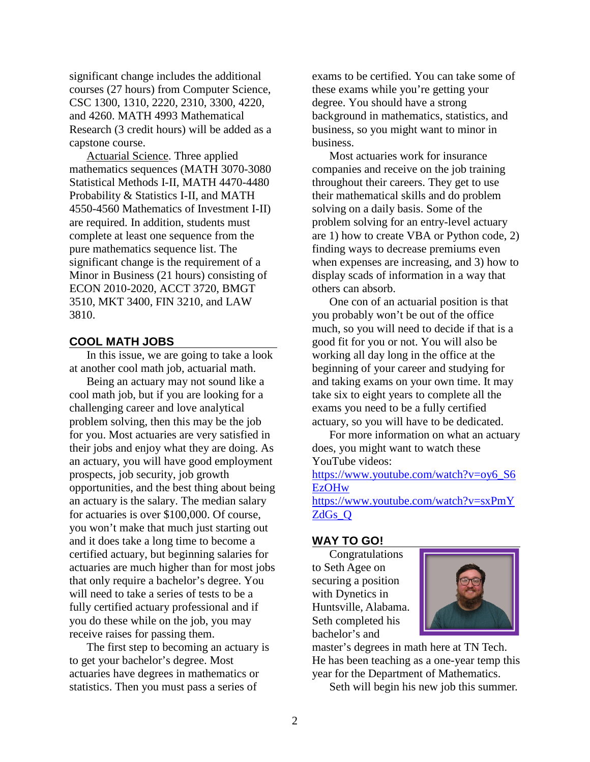significant change includes the additional courses (27 hours) from Computer Science, CSC 1300, 1310, 2220, 2310, 3300, 4220, and 4260. MATH 4993 Mathematical Research (3 credit hours) will be added as a capstone course.

Actuarial Science. Three applied mathematics sequences (MATH 3070-3080 Statistical Methods I-II, MATH 4470-4480 Probability & Statistics I-II, and MATH 4550-4560 Mathematics of Investment I-II) are required. In addition, students must complete at least one sequence from the pure mathematics sequence list. The significant change is the requirement of a Minor in Business (21 hours) consisting of ECON 2010-2020, ACCT 3720, BMGT 3510, MKT 3400, FIN 3210, and LAW 3810.

#### **COOL MATH JOBS**

In this issue, we are going to take a look at another cool math job, actuarial math.

Being an actuary may not sound like a cool math job, but if you are looking for a challenging career and love analytical problem solving, then this may be the job for you. Most actuaries are very satisfied in their jobs and enjoy what they are doing. As an actuary, you will have good employment prospects, job security, job growth opportunities, and the best thing about being an actuary is the salary. The median salary for actuaries is over \$100,000. Of course, you won't make that much just starting out and it does take a long time to become a certified actuary, but beginning salaries for actuaries are much higher than for most jobs that only require a bachelor's degree. You will need to take a series of tests to be a fully certified actuary professional and if you do these while on the job, you may receive raises for passing them.

The first step to becoming an actuary is to get your bachelor's degree. Most actuaries have degrees in mathematics or statistics. Then you must pass a series of

exams to be certified. You can take some of these exams while you're getting your degree. You should have a strong background in mathematics, statistics, and business, so you might want to minor in business.

Most actuaries work for insurance companies and receive on the job training throughout their careers. They get to use their mathematical skills and do problem solving on a daily basis. Some of the problem solving for an entry-level actuary are 1) how to create VBA or Python code, 2) finding ways to decrease premiums even when expenses are increasing, and 3) how to display scads of information in a way that others can absorb.

One con of an actuarial position is that you probably won't be out of the office much, so you will need to decide if that is a good fit for you or not. You will also be working all day long in the office at the beginning of your career and studying for and taking exams on your own time. It may take six to eight years to complete all the exams you need to be a fully certified actuary, so you will have to be dedicated.

For more information on what an actuary does, you might want to watch these YouTube videos:

[https://www.youtube.com/watch?v=oy6\\_S6](https://www.youtube.com/watch?v=oy6_S6EzOHw) **[EzOHw](https://www.youtube.com/watch?v=oy6_S6EzOHw)** [https://www.youtube.com/watch?v=sxPmY](https://www.youtube.com/watch?v=sxPmYZdGs_Q) [ZdGs\\_Q](https://www.youtube.com/watch?v=sxPmYZdGs_Q)

#### **WAY TO GO!**

Congratulations to Seth Agee on securing a position with Dynetics in Huntsville, Alabama. Seth completed his bachelor's and



master's degrees in math here at TN Tech. He has been teaching as a one-year temp this year for the Department of Mathematics.

Seth will begin his new job this summer.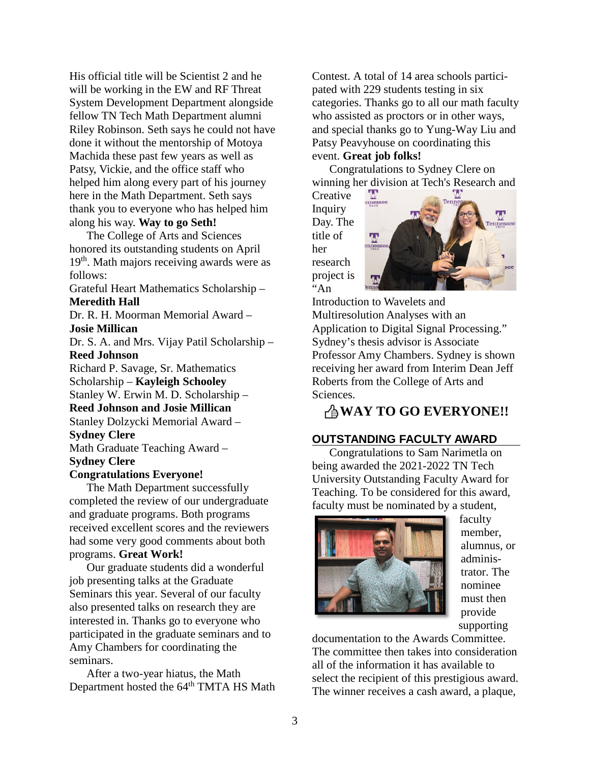His official title will be Scientist 2 and he will be working in the EW and RF Threat System Development Department alongside fellow TN Tech Math Department alumni Riley Robinson. Seth says he could not have done it without the mentorship of Motoya Machida these past few years as well as Patsy, Vickie, and the office staff who helped him along every part of his journey here in the Math Department. Seth says thank you to everyone who has helped him along his way. **Way to go Seth!**

The College of Arts and Sciences honored its outstanding students on April 19<sup>th</sup>. Math majors receiving awards were as follows:

Grateful Heart Mathematics Scholarship – **Meredith Hall**

Dr. R. H. Moorman Memorial Award – **Josie Millican**

Dr. S. A. and Mrs. Vijay Patil Scholarship – **Reed Johnson**

Richard P. Savage, Sr. Mathematics Scholarship – **Kayleigh Schooley**

Stanley W. Erwin M. D. Scholarship – **Reed Johnson and Josie Millican**

Stanley Dolzycki Memorial Award –

#### **Sydney Clere**

Math Graduate Teaching Award – **Sydney Clere**

#### **Congratulations Everyone!**

The Math Department successfully completed the review of our undergraduate and graduate programs. Both programs received excellent scores and the reviewers had some very good comments about both programs. **Great Work!**

Our graduate students did a wonderful job presenting talks at the Graduate Seminars this year. Several of our faculty also presented talks on research they are interested in. Thanks go to everyone who participated in the graduate seminars and to Amy Chambers for coordinating the seminars.

After a two-year hiatus, the Math Department hosted the 64<sup>th</sup> TMTA HS Math Contest. A total of 14 area schools participated with 229 students testing in six categories. Thanks go to all our math faculty who assisted as proctors or in other ways, and special thanks go to Yung-Way Liu and Patsy Peavyhouse on coordinating this event. **Great job folks!**

Congratulations to Sydney Clere on winning her division at Tech's Research and

**Creative** Inquiry Day. The title of her research project is  $A_n$ 



Introduction to Wavelets and Multiresolution Analyses with an Application to Digital Signal Processing." Sydney's thesis advisor is Associate Professor Amy Chambers. Sydney is shown receiving her award from Interim Dean Jeff Roberts from the College of Arts and Sciences.

# **WAY TO GO EVERYONE!!**

# **OUTSTANDING FACULTY AWARD**

Congratulations to Sam Narimetla on being awarded the 2021-2022 TN Tech University Outstanding Faculty Award for Teaching. To be considered for this award, faculty must be nominated by a student,



faculty member, alumnus, or administrator. The nominee must then provide supporting

documentation to the Awards Committee. The committee then takes into consideration all of the information it has available to select the recipient of this prestigious award. The winner receives a cash award, a plaque,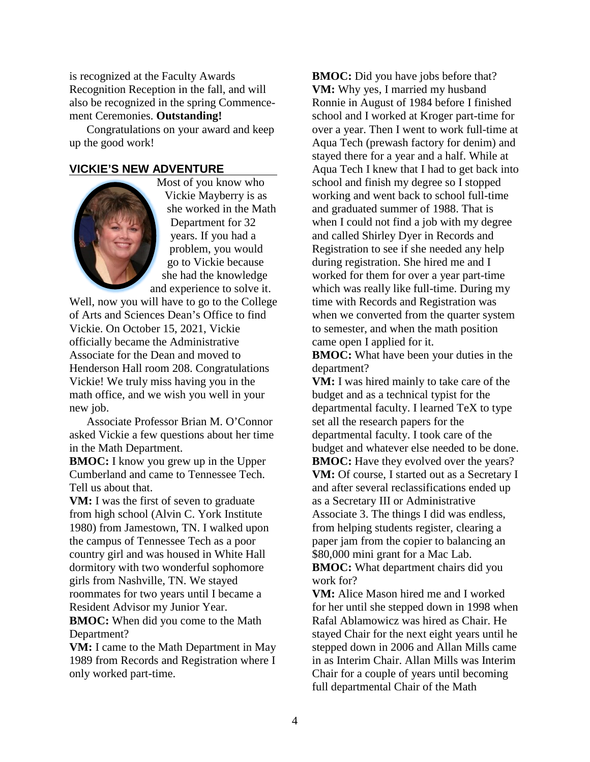is recognized at the Faculty Awards Recognition Reception in the fall, and will also be recognized in the spring Commencement Ceremonies. **Outstanding!**

Congratulations on your award and keep up the good work!

### **VICKIE'S NEW ADVENTURE**



Most of you know who Vickie Mayberry is as she worked in the Math Department for 32 years. If you had a problem, you would go to Vickie because she had the knowledge and experience to solve it.

Well, now you will have to go to the College of Arts and Sciences Dean's Office to find Vickie. On October 15, 2021, Vickie officially became the Administrative Associate for the Dean and moved to Henderson Hall room 208. Congratulations Vickie! We truly miss having you in the math office, and we wish you well in your new job.

Associate Professor Brian M. O'Connor asked Vickie a few questions about her time in the Math Department.

**BMOC:** I know you grew up in the Upper Cumberland and came to Tennessee Tech. Tell us about that.

**VM:** I was the first of seven to graduate from high school (Alvin C. York Institute 1980) from Jamestown, TN. I walked upon the campus of Tennessee Tech as a poor country girl and was housed in White Hall dormitory with two wonderful sophomore girls from Nashville, TN. We stayed roommates for two years until I became a Resident Advisor my Junior Year.

**BMOC:** When did you come to the Math Department?

**VM:** I came to the Math Department in May 1989 from Records and Registration where I only worked part-time.

**BMOC:** Did you have jobs before that? **VM:** Why yes, I married my husband Ronnie in August of 1984 before I finished school and I worked at Kroger part-time for over a year. Then I went to work full-time at Aqua Tech (prewash factory for denim) and stayed there for a year and a half. While at Aqua Tech I knew that I had to get back into school and finish my degree so I stopped working and went back to school full-time and graduated summer of 1988. That is when I could not find a job with my degree and called Shirley Dyer in Records and Registration to see if she needed any help during registration. She hired me and I worked for them for over a year part-time which was really like full-time. During my time with Records and Registration was when we converted from the quarter system to semester, and when the math position came open I applied for it.

**BMOC:** What have been your duties in the department?

**VM:** I was hired mainly to take care of the budget and as a technical typist for the departmental faculty. I learned TeX to type set all the research papers for the departmental faculty. I took care of the budget and whatever else needed to be done. **BMOC:** Have they evolved over the years? **VM:** Of course, I started out as a Secretary I and after several reclassifications ended up as a Secretary III or Administrative Associate 3. The things I did was endless, from helping students register, clearing a paper jam from the copier to balancing an \$80,000 mini grant for a Mac Lab. **BMOC:** What department chairs did you work for?

**VM:** Alice Mason hired me and I worked for her until she stepped down in 1998 when Rafal Ablamowicz was hired as Chair. He stayed Chair for the next eight years until he stepped down in 2006 and Allan Mills came in as Interim Chair. Allan Mills was Interim Chair for a couple of years until becoming full departmental Chair of the Math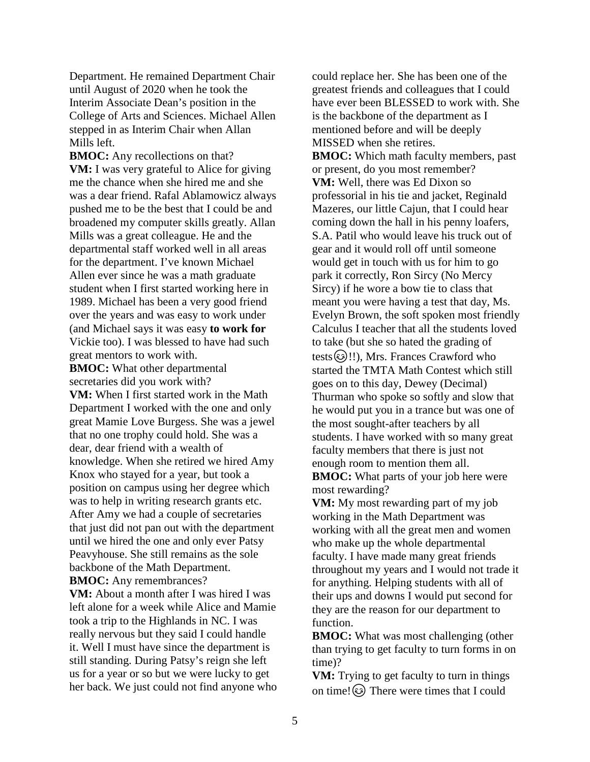Department. He remained Department Chair until August of 2020 when he took the Interim Associate Dean's position in the College of Arts and Sciences. Michael Allen stepped in as Interim Chair when Allan Mills left.

**BMOC:** Any recollections on that? **VM:** I was very grateful to Alice for giving me the chance when she hired me and she was a dear friend. Rafal Ablamowicz always pushed me to be the best that I could be and broadened my computer skills greatly. Allan Mills was a great colleague. He and the departmental staff worked well in all areas for the department. I've known Michael Allen ever since he was a math graduate student when I first started working here in 1989. Michael has been a very good friend over the years and was easy to work under (and Michael says it was easy **to work for**  Vickie too). I was blessed to have had such great mentors to work with.

**BMOC:** What other departmental secretaries did you work with? **VM:** When I first started work in the Math Department I worked with the one and only great Mamie Love Burgess. She was a jewel that no one trophy could hold. She was a dear, dear friend with a wealth of knowledge. When she retired we hired Amy Knox who stayed for a year, but took a position on campus using her degree which was to help in writing research grants etc. After Amy we had a couple of secretaries that just did not pan out with the department until we hired the one and only ever Patsy Peavyhouse. She still remains as the sole backbone of the Math Department. **BMOC:** Any remembrances?

**VM:** About a month after I was hired I was left alone for a week while Alice and Mamie took a trip to the Highlands in NC. I was really nervous but they said I could handle it. Well I must have since the department is still standing. During Patsy's reign she left us for a year or so but we were lucky to get her back. We just could not find anyone who

could replace her. She has been one of the greatest friends and colleagues that I could have ever been BLESSED to work with. She is the backbone of the department as I mentioned before and will be deeply MISSED when she retires. **BMOC:** Which math faculty members, past or present, do you most remember? **VM:** Well, there was Ed Dixon so professorial in his tie and jacket, Reginald Mazeres, our little Cajun, that I could hear coming down the hall in his penny loafers, S.A. Patil who would leave his truck out of gear and it would roll off until someone would get in touch with us for him to go park it correctly, Ron Sircy (No Mercy Sircy) if he wore a bow tie to class that meant you were having a test that day, Ms. Evelyn Brown, the soft spoken most friendly Calculus I teacher that all the students loved to take (but she so hated the grading of tests (3)!!), Mrs. Frances Crawford who started the TMTA Math Contest which still goes on to this day, Dewey (Decimal) Thurman who spoke so softly and slow that he would put you in a trance but was one of the most sought-after teachers by all students. I have worked with so many great faculty members that there is just not enough room to mention them all. **BMOC:** What parts of your job here were most rewarding?

**VM:** My most rewarding part of my job working in the Math Department was working with all the great men and women who make up the whole departmental faculty. I have made many great friends throughout my years and I would not trade it for anything. Helping students with all of their ups and downs I would put second for they are the reason for our department to function.

**BMOC:** What was most challenging (other than trying to get faculty to turn forms in on time)?

**VM:** Trying to get faculty to turn in things on time! $\odot$  There were times that I could